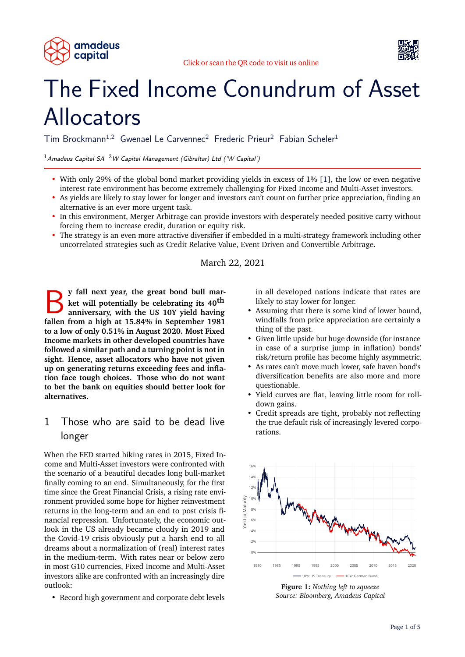



# The Fixed Income Conundrum of Asset Allocators

Tim Brockmann<sup>1,2</sup> Gwenael Le Carvennec<sup>2</sup> Frederic Prieur<sup>2</sup> Fabian Scheler<sup>1</sup>

<sup>1</sup> Amadeus Capital SA <sup>2</sup> W Capital Management (Gibraltar) Ltd ('W Capital')

- With only 29% of the global bond market providing yields in excess of 1% [\[1\]](#page-4-0), the low or even negative interest rate environment has become extremely challenging for Fixed Income and Multi-Asset investors.
- As yields are likely to stay lower for longer and investors can't count on further price appreciation, finding an alternative is an ever more urgent task.
- In this environment, Merger Arbitrage can provide investors with desperately needed positive carry without forcing them to increase credit, duration or equity risk.
- The strategy is an even more attractive diversifier if embedded in a multi-strategy framework including other uncorrelated strategies such as Credit Relative Value, Event Driven and Convertible Arbitrage.

March 22, 2021

B **y fall next year, the great bond bull market will potentially be celebrating its 40th anniversary, with the US 10Y yield having fallen from a high at 15.84% in September 1981 to a low of only 0.51% in August 2020. Most Fixed Income markets in other developed countries have followed a similar path and a turning point is not in sight. Hence, asset allocators who have not given up on generating returns exceeding fees and inflation face tough choices. Those who do not want to bet the bank on equities should better look for alternatives.**

## 1 Those who are said to be dead live longer

When the FED started hiking rates in 2015, Fixed Income and Multi-Asset investors were confronted with the scenario of a beautiful decades long bull-market finally coming to an end. Simultaneously, for the first time since the Great Financial Crisis, a rising rate environment provided some hope for higher reinvestment returns in the long-term and an end to post crisis financial repression. Unfortunately, the economic outlook in the US already became cloudy in 2019 and the Covid-19 crisis obviously put a harsh end to all dreams about a normalization of (real) interest rates in the medium-term. With rates near or below zero in most G10 currencies, Fixed Income and Multi-Asset investors alike are confronted with an increasingly dire outlook:

• Record high government and corporate debt levels

in all developed nations indicate that rates are likely to stay lower for longer.

- Assuming that there is some kind of lower bound, windfalls from price appreciation are certainly a thing of the past.
- Given little upside but huge downside (for instance in case of a surprise jump in inflation) bonds' risk/return profile has become highly asymmetric.
- As rates can't move much lower, safe haven bond's diversification benefits are also more and more questionable.
- Yield curves are flat, leaving little room for rolldown gains.
- Credit spreads are tight, probably not reflecting the true default risk of increasingly levered corporations.



**Figure 1:** *Nothing left to squeeze Source: Bloomberg, Amadeus Capital*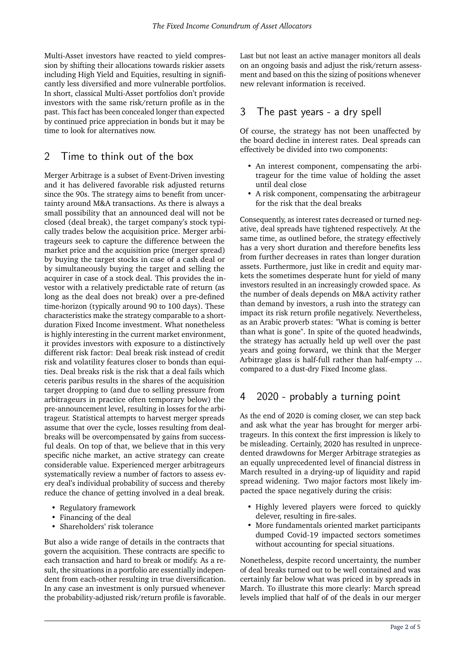Multi-Asset investors have reacted to yield compression by shifting their allocations towards riskier assets including High Yield and Equities, resulting in significantly less diversified and more vulnerable portfolios. In short, classical Multi-Asset portfolios don't provide investors with the same risk/return profile as in the past. This fact has been concealed longer than expected by continued price appreciation in bonds but it may be time to look for alternatives now.

# 2 Time to think out of the box

Merger Arbitrage is a subset of Event-Driven investing and it has delivered favorable risk adjusted returns since the 90s. The strategy aims to benefit from uncertainty around M&A transactions. As there is always a small possibility that an announced deal will not be closed (deal break), the target company's stock typically trades below the acquisition price. Merger arbitrageurs seek to capture the difference between the market price and the acquisition price (merger spread) by buying the target stocks in case of a cash deal or by simultaneously buying the target and selling the acquirer in case of a stock deal. This provides the investor with a relatively predictable rate of return (as long as the deal does not break) over a pre-defined time-horizon (typically around 90 to 100 days). These characteristics make the strategy comparable to a shortduration Fixed Income investment. What nonetheless is highly interesting in the current market environment, it provides investors with exposure to a distinctively different risk factor: Deal break risk instead of credit risk and volatility features closer to bonds than equities. Deal breaks risk is the risk that a deal fails which ceteris paribus results in the shares of the acquisition target dropping to (and due to selling pressure from arbitrageurs in practice often temporary below) the pre-announcement level, resulting in losses for the arbitrageur. Statistical attempts to harvest merger spreads assume that over the cycle, losses resulting from dealbreaks will be overcompensated by gains from successful deals. On top of that, we believe that in this very specific niche market, an active strategy can create considerable value. Experienced merger arbitrageurs systematically review a number of factors to assess every deal's individual probability of success and thereby reduce the chance of getting involved in a deal break.

- Regulatory framework
- Financing of the deal
- Shareholders' risk tolerance

But also a wide range of details in the contracts that govern the acquisition. These contracts are specific to each transaction and hard to break or modify. As a result, the situations in a portfolio are essentially independent from each-other resulting in true diversification. In any case an investment is only pursued whenever the probability-adjusted risk/return profile is favorable. Last but not least an active manager monitors all deals on an ongoing basis and adjust the risk/return assessment and based on this the sizing of positions whenever new relevant information is received.

#### 3 The past years - a dry spell

Of course, the strategy has not been unaffected by the board decline in interest rates. Deal spreads can effectively be divided into two components:

- An interest component, compensating the arbitrageur for the time value of holding the asset until deal close
- A risk component, compensating the arbitrageur for the risk that the deal breaks

Consequently, as interest rates decreased or turned negative, deal spreads have tightened respectively. At the same time, as outlined before, the strategy effectively has a very short duration and therefore benefits less from further decreases in rates than longer duration assets. Furthermore, just like in credit and equity markets the sometimes desperate hunt for yield of many investors resulted in an increasingly crowded space. As the number of deals depends on M&A activity rather than demand by investors, a rush into the strategy can impact its risk return profile negatively. Nevertheless, as an Arabic proverb states: "What is coming is better than what is gone". In spite of the quoted headwinds, the strategy has actually held up well over the past years and going forward, we think that the Merger Arbitrage glass is half-full rather than half-empty ... compared to a dust-dry Fixed Income glass.

#### 4 2020 - probably a turning point

As the end of 2020 is coming closer, we can step back and ask what the year has brought for merger arbitrageurs. In this context the first impression is likely to be misleading. Certainly, 2020 has resulted in unprecedented drawdowns for Merger Arbitrage strategies as an equally unprecedented level of financial distress in March resulted in a drying-up of liquidity and rapid spread widening. Two major factors most likely impacted the space negatively during the crisis:

- Highly levered players were forced to quickly delever, resulting in fire-sales.
- More fundamentals oriented market participants dumped Covid-19 impacted sectors sometimes without accounting for special situations.

Nonetheless, despite record uncertainty, the number of deal breaks turned out to be well contained and was certainly far below what was priced in by spreads in March. To illustrate this more clearly: March spread levels implied that half of of the deals in our merger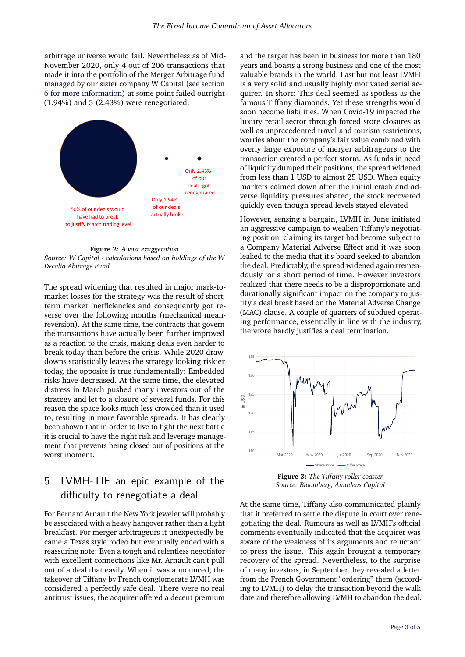arbitrage universe would fail. Nevertheless as of Mid-November 2020, only 4 out of 206 transactions that made it into the portfolio of the Merger Arbitrage fund managed by our sister company W Capital [\(see section](#page-3-0) [6 for more information\)](#page-3-0) at some point failed outright (1.94%) and 5 (2.43%) were renegotiated.



**Figure 2:** *A vast exaggeration Source: W Capital - calculations based on holdings of the W Decalia Abitrage Fund*

The spread widening that resulted in major mark-tomarket losses for the strategy was the result of shortterm market inefficiencies and consequently got reverse over the following months (mechanical meanreversion). At the same time, the contracts that govern the transactions have actually been further improved as a reaction to the crisis, making deals even harder to break today than before the crisis. While 2020 drawdowns statistically leaves the strategy looking riskier today, the opposite is true fundamentally: Embedded risks have decreased. At the same time, the elevated distress in March pushed many investors out of the strategy and let to a closure of several funds. For this reason the space looks much less crowded than it used to, resulting in more favorable spreads. It has clearly been shown that in order to live to fight the next battle it is crucial to have the right risk and leverage management that prevents being closed out of positions at the worst moment.

# 5 LVMH-TIF an epic example of the difficulty to renegotiate a deal

For Bernard Arnault the New York jeweler will probably be associated with a heavy hangover rather than a light breakfast. For merger arbitrageurs it unexpectedly became a Texas style rodeo but eventually ended with a reassuring note: Even a tough and relentless negotiator with excellent connections like Mr. Arnault can't pull out of a deal that easily. When it was announced, the takeover of Tiffany by French conglomerate LVMH was considered a perfectly safe deal. There were no real antitrust issues, the acquirer offered a decent premium

and the target has been in business for more than 180 years and boasts a strong business and one of the most valuable brands in the world. Last but not least LVMH is a very solid and usually highly motivated serial acquirer. In short: This deal seemed as spotless as the famous Tiffany diamonds. Yet these strengths would soon become liabilities. When Covid-19 impacted the luxury retail sector through forced store closures as well as unprecedented travel and tourism restrictions, worries about the company's fair value combined with overly large exposure of merger arbitrageurs to the transaction created a perfect storm. As funds in need of liquidity dumped their positions, the spread widened from less than 1 USD to almost 25 USD. When equity markets calmed down after the initial crash and adverse liquidity pressures abated, the stock recovered quickly even though spread levels stayed elevated

However, sensing a bargain, LVMH in June initiated an aggressive campaign to weaken Tiffany's negotiating position, claiming its target had become subject to a Company Material Adverse Effect and it was soon leaked to the media that it's board seeked to abandon the deal. Predictably, the spread widened again tremendously for a short period of time. However investors realized that there needs to be a disproportionate and durationally significant impact on the company to justify a deal break based on the Material Adverse Change (MAC) clause. A couple of quarters of subdued operating performance, essentially in line with the industry, therefore hardly justifies a deal termination.



**Figure 3:** *The Tiffany roller coaster Source: Bloomberg, Amadeus Capital*

At the same time, Tiffany also communicated plainly that it preferred to settle the dispute in court over renegotiating the deal. Rumours as well as LVMH's official comments eventually indicated that the acquirer was aware of the weakness of its arguments and reluctant to press the issue. This again brought a temporary recovery of the spread. Nevertheless, to the surprise of many investors, in September they revealed a letter from the French Government "ordering" them (according to LVMH) to delay the transaction beyond the walk date and therefore allowing LVMH to abandon the deal.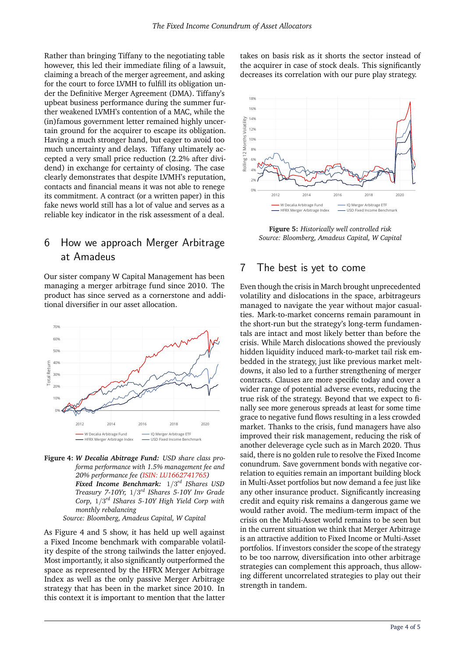Rather than bringing Tiffany to the negotiating table however, this led their immediate filing of a lawsuit, claiming a breach of the merger agreement, and asking for the court to force LVMH to fulfill its obligation under the Definitive Merger Agreement (DMA). Tiffany's upbeat business performance during the summer further weakened LVMH's contention of a MAC, while the (in)famous government letter remained highly uncertain ground for the acquirer to escape its obligation. Having a much stronger hand, but eager to avoid too much uncertainty and delays. Tiffany ultimately accepted a very small price reduction (2.2% after dividend) in exchange for certainty of closing. The case clearly demonstrates that despite LVMH's reputation, contacts and financial means it was not able to renege its commitment. A contract (or a written paper) in this fake news world still has a lot of value and serves as a reliable key indicator in the risk assessment of a deal.

# 6 How we approach Merger Arbitrage at Amadeus

Our sister company W Capital Management has been managing a merger arbitrage fund since 2010. The product has since served as a cornerstone and additional diversifier in our asset allocation.



**Figure 4:** *W Decalia Abitrage Fund: USD share class proforma performance with 1.5% management fee and 20% performance fee [\(ISIN: LU1662741765\)](http://www.wcap.gi/) Fixed Income Benchmark:* 1/3 *rd IShares USD Treasury 7-10Yr,* 1/3 *rd IShares 5-10Y Inv Grade Corp,* 1/3 *rd IShares 5-10Y High Yield Corp with monthly rebalancing*

*Source: Bloomberg, Amadeus Capital, W Capital*

As Figure 4 and 5 show, it has held up well against a Fixed Income benchmark with comparable volatility despite of the strong tailwinds the latter enjoyed. Most importantly, it also significantly outperformed the space as represented by the HFRX Merger Arbitrage Index as well as the only passive Merger Arbitrage strategy that has been in the market since 2010. In this context it is important to mention that the latter

takes on basis risk as it shorts the sector instead of the acquirer in case of stock deals. This significantly decreases its correlation with our pure play strategy.



<span id="page-3-0"></span>**Figure 5:** *Historically well controlled risk Source: Bloomberg, Amadeus Capital, W Capital*

#### 7 The best is yet to come

Even though the crisis in March brought unprecedented volatility and dislocations in the space, arbitrageurs managed to navigate the year without major casualties. Mark-to-market concerns remain paramount in the short-run but the strategy's long-term fundamentals are intact and most likely better than before the crisis. While March dislocations showed the previously hidden liquidity induced mark-to-market tail risk embedded in the strategy, just like previous market meltdowns, it also led to a further strengthening of merger contracts. Clauses are more specific today and cover a wider range of potential adverse events, reducing the true risk of the strategy. Beyond that we expect to finally see more generous spreads at least for some time grace to negative fund flows resulting in a less crowded market. Thanks to the crisis, fund managers have also improved their risk management, reducing the risk of another deleverage cycle such as in March 2020. Thus said, there is no golden rule to resolve the Fixed Income conundrum. Save government bonds with negative correlation to equities remain an important building block in Multi-Asset portfolios but now demand a fee just like any other insurance product. Significantly increasing credit and equity risk remains a dangerous game we would rather avoid. The medium-term impact of the crisis on the Multi-Asset world remains to be seen but in the current situation we think that Merger Arbitrage is an attractive addition to Fixed Income or Multi-Asset portfolios. If investors consider the scope of the strategy to be too narrow, diversification into other arbitrage strategies can complement this approach, thus allowing different uncorrelated strategies to play out their strength in tandem.